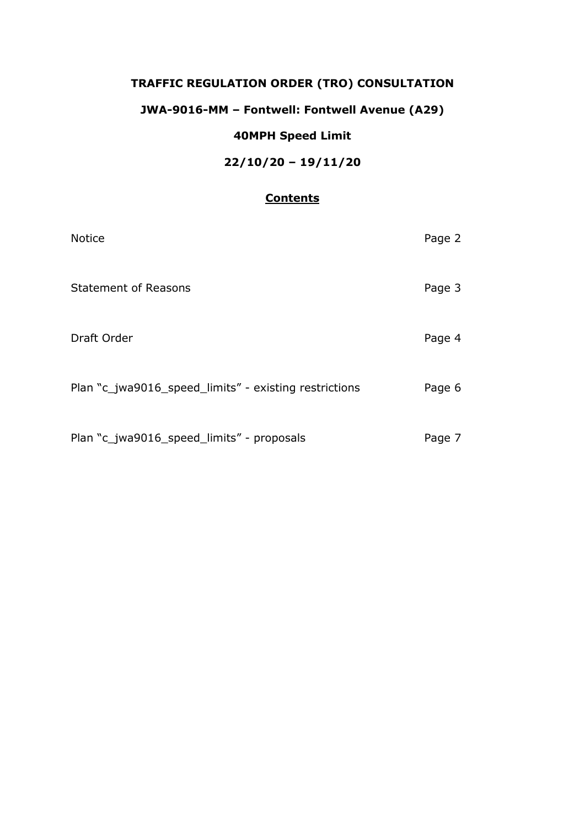# **TRAFFIC REGULATION ORDER (TRO) CONSULTATION**

## **JWA-9016-MM – Fontwell: Fontwell Avenue (A29)**

### **40MPH Speed Limit**

## **22/10/20 – 19/11/20**

#### **Contents**

| <b>Notice</b>                                         | Page 2 |
|-------------------------------------------------------|--------|
| <b>Statement of Reasons</b>                           | Page 3 |
| Draft Order                                           | Page 4 |
| Plan "c_jwa9016_speed_limits" - existing restrictions | Page 6 |
| Plan "c_jwa9016_speed_limits" - proposals             | Page 7 |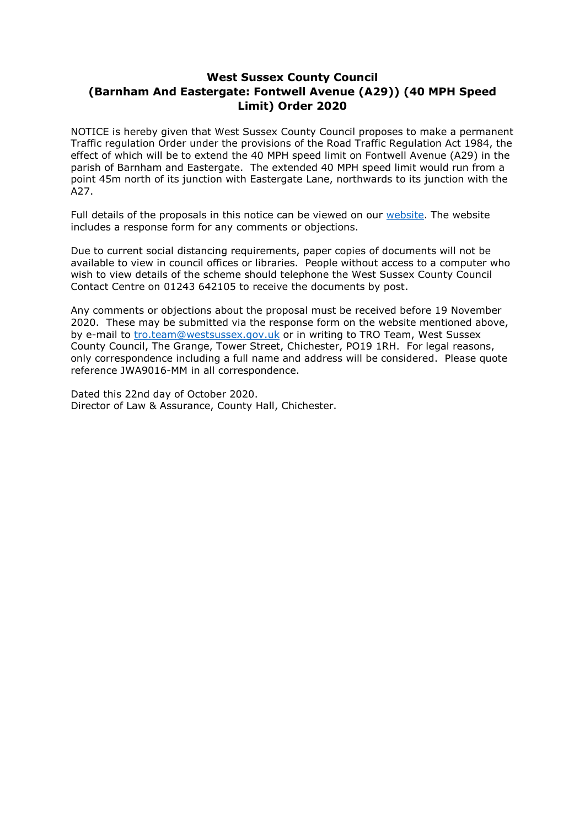### **West Sussex County Council (Barnham And Eastergate: Fontwell Avenue (A29)) (40 MPH Speed Limit) Order 2020**

NOTICE is hereby given that West Sussex County Council proposes to make a permanent Traffic regulation Order under the provisions of the Road Traffic Regulation Act 1984, the effect of which will be to extend the 40 MPH speed limit on Fontwell Avenue (A29) in the parish of Barnham and Eastergate. The extended 40 MPH speed limit would run from a point 45m north of its junction with Eastergate Lane, northwards to its junction with the A<sub>27</sub>

Full details of the proposals in this notice can be viewed on our [website.](https://www.westsussex.gov.uk/roads-and-travel/traffic-regulation-orders/) The website includes a response form for any comments or objections.

Due to current social distancing requirements, paper copies of documents will not be available to view in council offices or libraries. People without access to a computer who wish to view details of the scheme should telephone the West Sussex County Council Contact Centre on 01243 642105 to receive the documents by post.

Any comments or objections about the proposal must be received before 19 November 2020. These may be submitted via the response form on the website mentioned above, by e-mail to [tro.team@westsussex.gov.uk](mailto:tro.team@westsussex.gov.uk) or in writing to TRO Team, West Sussex County Council, The Grange, Tower Street, Chichester, PO19 1RH. For legal reasons, only correspondence including a full name and address will be considered. Please quote reference JWA9016-MM in all correspondence.

Dated this 22nd day of October 2020. Director of Law & Assurance, County Hall, Chichester.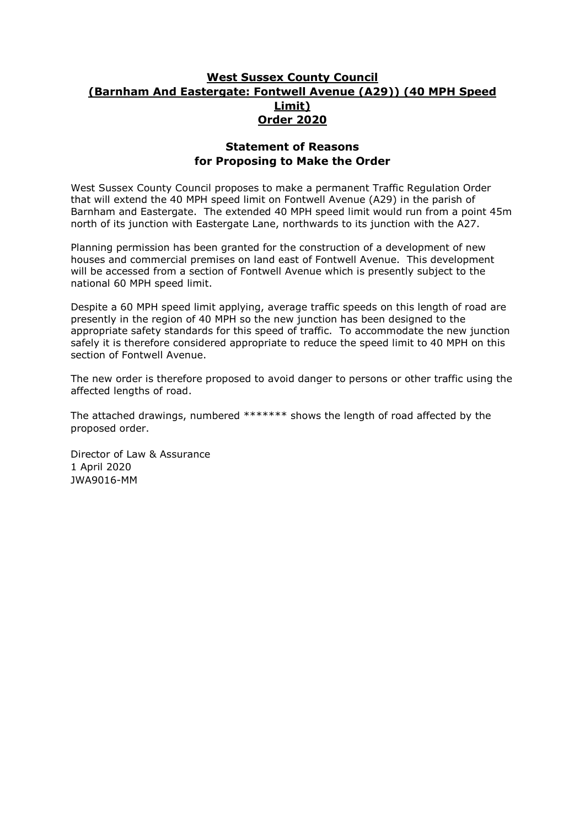### **West Sussex County Council (Barnham And Eastergate: Fontwell Avenue (A29)) (40 MPH Speed Limit) Order 2020**

#### **Statement of Reasons for Proposing to Make the Order**

West Sussex County Council proposes to make a permanent Traffic Regulation Order that will extend the 40 MPH speed limit on Fontwell Avenue (A29) in the parish of Barnham and Eastergate. The extended 40 MPH speed limit would run from a point 45m north of its junction with Eastergate Lane, northwards to its junction with the A27.

Planning permission has been granted for the construction of a development of new houses and commercial premises on land east of Fontwell Avenue. This development will be accessed from a section of Fontwell Avenue which is presently subject to the national 60 MPH speed limit.

Despite a 60 MPH speed limit applying, average traffic speeds on this length of road are presently in the region of 40 MPH so the new junction has been designed to the appropriate safety standards for this speed of traffic. To accommodate the new junction safely it is therefore considered appropriate to reduce the speed limit to 40 MPH on this section of Fontwell Avenue.

The new order is therefore proposed to avoid danger to persons or other traffic using the affected lengths of road.

The attached drawings, numbered \*\*\*\*\*\*\* shows the length of road affected by the proposed order.

Director of Law & Assurance 1 April 2020 JWA9016-MM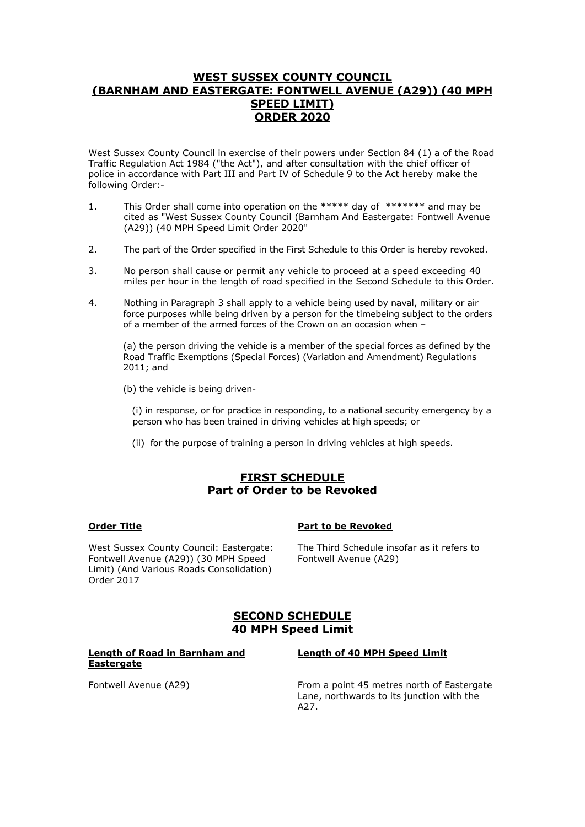#### **WEST SUSSEX COUNTY COUNCIL (BARNHAM AND EASTERGATE: FONTWELL AVENUE (A29)) (40 MPH SPEED LIMIT) ORDER 2020**

West Sussex County Council in exercise of their powers under Section 84 (1) a of the Road Traffic Regulation Act 1984 ("the Act"), and after consultation with the chief officer of police in accordance with Part III and Part IV of Schedule 9 to the Act hereby make the following Order:-

- 1. This Order shall come into operation on the \*\*\*\*\* day of \*\*\*\*\*\*\* and may be cited as "West Sussex County Council (Barnham And Eastergate: Fontwell Avenue (A29)) (40 MPH Speed Limit Order 2020"
- 2. The part of the Order specified in the First Schedule to this Order is hereby revoked.
- 3. No person shall cause or permit any vehicle to proceed at a speed exceeding 40 miles per hour in the length of road specified in the Second Schedule to this Order.
- 4. Nothing in Paragraph 3 shall apply to a vehicle being used by naval, military or air force purposes while being driven by a person for the timebeing subject to the orders of a member of the armed forces of the Crown on an occasion when –

(a) the person driving the vehicle is a member of the special forces as defined by the Road Traffic Exemptions (Special Forces) (Variation and Amendment) Regulations 2011; and

(b) the vehicle is being driven-

 (i) in response, or for practice in responding, to a national security emergency by a person who has been trained in driving vehicles at high speeds; or

(ii) for the purpose of training a person in driving vehicles at high speeds.

#### **FIRST SCHEDULE Part of Order to be Revoked**

#### **Order Title Part to be Revoked**

West Sussex County Council: Eastergate: Fontwell Avenue (A29)) (30 MPH Speed Limit) (And Various Roads Consolidation) Order 2017

The Third Schedule insofar as it refers to Fontwell Avenue (A29)

#### **SECOND SCHEDULE 40 MPH Speed Limit**

#### **Length of Road in Barnham and Eastergate**

**Length of 40 MPH Speed Limit**

Fontwell Avenue (A29) From a point 45 metres north of Eastergate Lane, northwards to its junction with the A<sub>27</sub>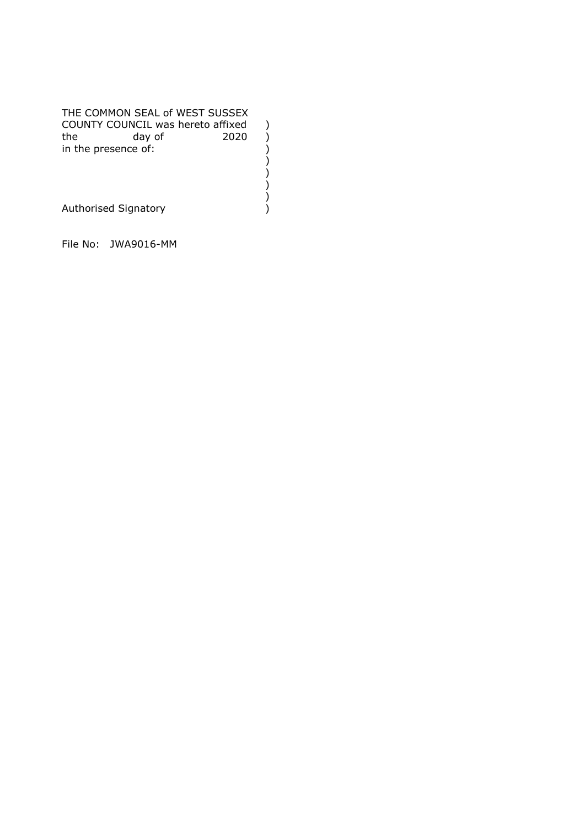THE COMMON SEAL of WEST SUSSEX COUNTY COUNCIL was hereto affixed<br>
the day of 2020<br>
in the presence of:<br>
()<br>
()<br>
Authorised Signatory<br>
()  $day of$  2020 in the presence of: ) ) )

)

Authorised Signatory )

File No: JWA9016-MM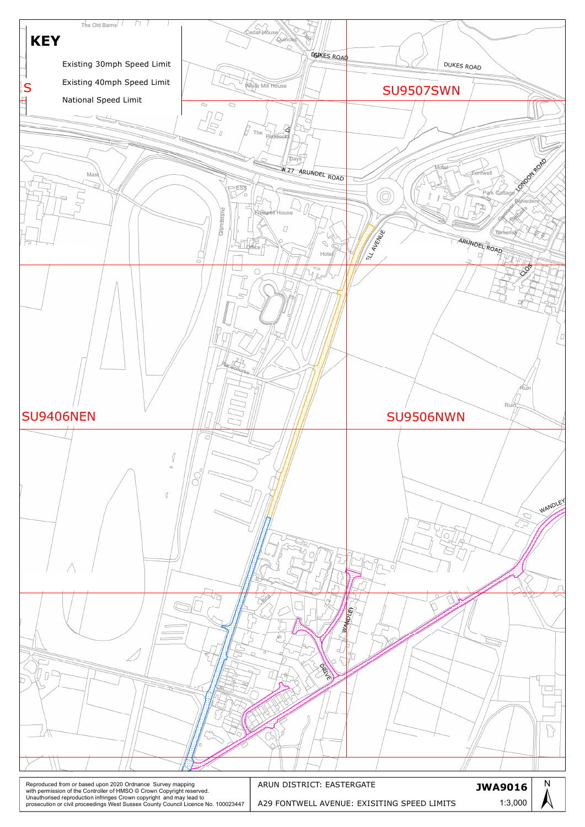

| Reproduced from or based upon 2020 Ordnance Survey mapping<br>with permission of the Controller of HMSO © Crown Copyright reserved.<br>Unauthorised reproduction infringes Crown copyright and may lead to<br>prosecution or civil proceedings West Sussex County Council Licence No. 100023447 | ARUN DISTRICT: EASTERGATE                   | <b>JWA9016</b> |  |
|-------------------------------------------------------------------------------------------------------------------------------------------------------------------------------------------------------------------------------------------------------------------------------------------------|---------------------------------------------|----------------|--|
|                                                                                                                                                                                                                                                                                                 | A29 FONTWELL AVENUE: EXISITING SPEED LIMITS | 1:3,000        |  |